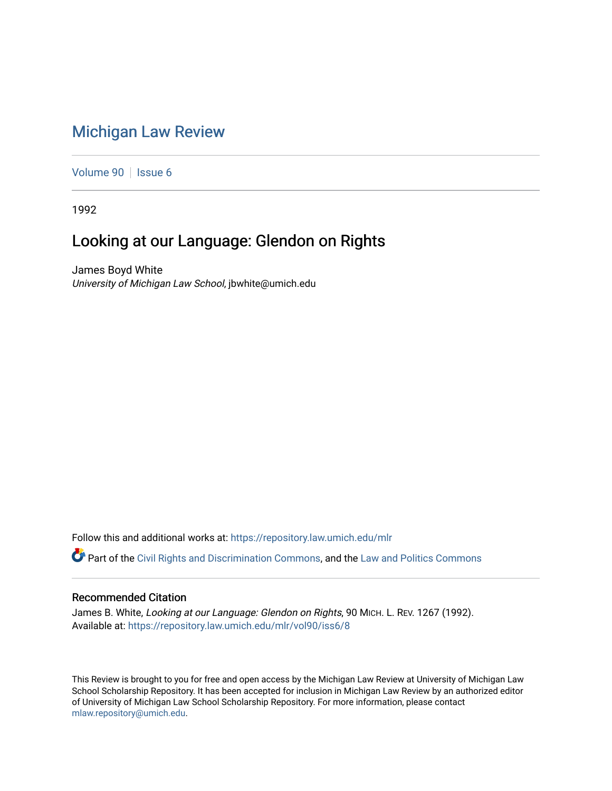## [Michigan Law Review](https://repository.law.umich.edu/mlr)

[Volume 90](https://repository.law.umich.edu/mlr/vol90) | [Issue 6](https://repository.law.umich.edu/mlr/vol90/iss6)

1992

# Looking at our Language: Glendon on Rights

James Boyd White University of Michigan Law School, jbwhite@umich.edu

Follow this and additional works at: [https://repository.law.umich.edu/mlr](https://repository.law.umich.edu/mlr?utm_source=repository.law.umich.edu%2Fmlr%2Fvol90%2Fiss6%2F8&utm_medium=PDF&utm_campaign=PDFCoverPages) 

 $\bullet$  Part of the [Civil Rights and Discrimination Commons,](http://network.bepress.com/hgg/discipline/585?utm_source=repository.law.umich.edu%2Fmlr%2Fvol90%2Fiss6%2F8&utm_medium=PDF&utm_campaign=PDFCoverPages) and the [Law and Politics Commons](http://network.bepress.com/hgg/discipline/867?utm_source=repository.law.umich.edu%2Fmlr%2Fvol90%2Fiss6%2F8&utm_medium=PDF&utm_campaign=PDFCoverPages)

### Recommended Citation

James B. White, Looking at our Language: Glendon on Rights, 90 MICH. L. REV. 1267 (1992). Available at: [https://repository.law.umich.edu/mlr/vol90/iss6/8](https://repository.law.umich.edu/mlr/vol90/iss6/8?utm_source=repository.law.umich.edu%2Fmlr%2Fvol90%2Fiss6%2F8&utm_medium=PDF&utm_campaign=PDFCoverPages)

This Review is brought to you for free and open access by the Michigan Law Review at University of Michigan Law School Scholarship Repository. It has been accepted for inclusion in Michigan Law Review by an authorized editor of University of Michigan Law School Scholarship Repository. For more information, please contact [mlaw.repository@umich.edu.](mailto:mlaw.repository@umich.edu)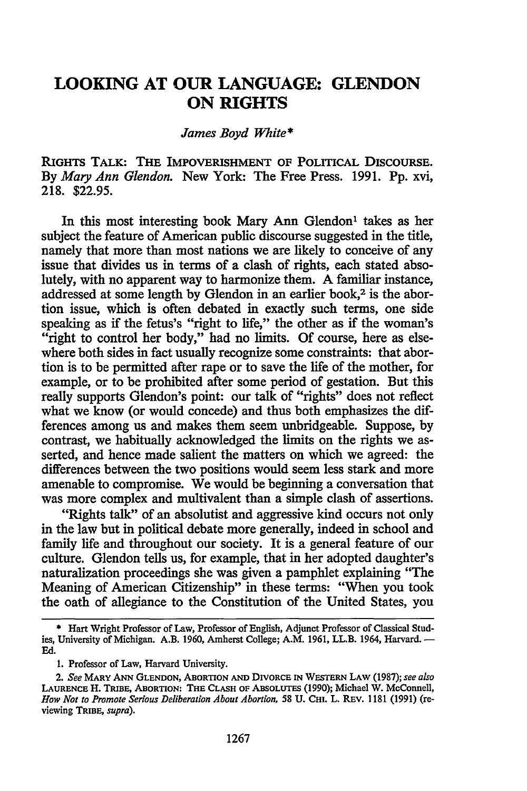## **LOOKING AT OUR LANGUAGE: GLENDON ON RIGHTS**

#### *James Boyd Wnite\**

RIGHTS TALK: THE IMPOVERISHMENT OF POLITICAL DISCOURSE. By *Mary Ann Glendon.* New York: The Free Press. 1991. Pp. xvi, 218. \$22.95.

In this most interesting book Mary Ann Glendon<sup>1</sup> takes as her subject the feature of American public discourse suggested in the title, namely that more than most nations we are likely to conceive of any issue that divides us in terms of a clash of rights, each stated absolutely, with no apparent way to harmonize them. A familiar instance, addressed at some length by Glendon in an earlier book,<sup>2</sup> is the abortion issue, which is often debated in exactly such terms, one side speaking as if the fetus's "right to life," the other as if the woman's "right to control her body," had no limits. Of course, here as elsewhere both sides in fact usually recognize some constraints: that abortion is to be permitted after rape or to save the life of the mother, for example, or to be prohibited after some period of gestation. But this really supports Glendon's point: our talk of "rights" does not reflect what we know (or would concede) and thus both emphasizes the differences among us and makes them seem unbridgeable. Suppose, by contrast, we habitually acknowledged the limits on the rights we asserted, and hence made salient the matters on which we agreed: the differences between the two positions would seem less stark and more amenable to compromise. We would be beginning a conversation that was more complex and multivalent than a simple clash of assertions.

"Rights talk" of an absolutist and aggressive kind occurs not only in the law but in political debate more generally, indeed in school and family life and throughout our society. It is a general feature of our culture. Glendon tells us, for example, that in her adopted daughter's naturalization proceedings she was given a pamphlet explaining "The Meaning of American Citizenship" in these terms: "When you took the oath of allegiance to the Constitution of the United States, you

<sup>•</sup> Hart Wright Professor of Law, Professor of English, Adjunct Professor of Classical Studies, University of Michigan. A.B. 1960, Amherst College; A.M. 1961, LL.B. 1964, Harvard. -Ed.

<sup>1.</sup> Professor of Law, Harvard University.

<sup>2.</sup> *See* MARY ANN GLENDON, ABORTION AND DIVORCE IN WESTERN LAW (1987); *see also*  LAURENCE H. TRIBE, ABORTION: THE CLASH OF ABsOLUTES (1990); Michael W. McConnell, *How Not to Promote Serious Deliberation About Abortion,* 58 U. CHI. L. REv. 1181 (1991) (reviewing TRIBE, *supra).*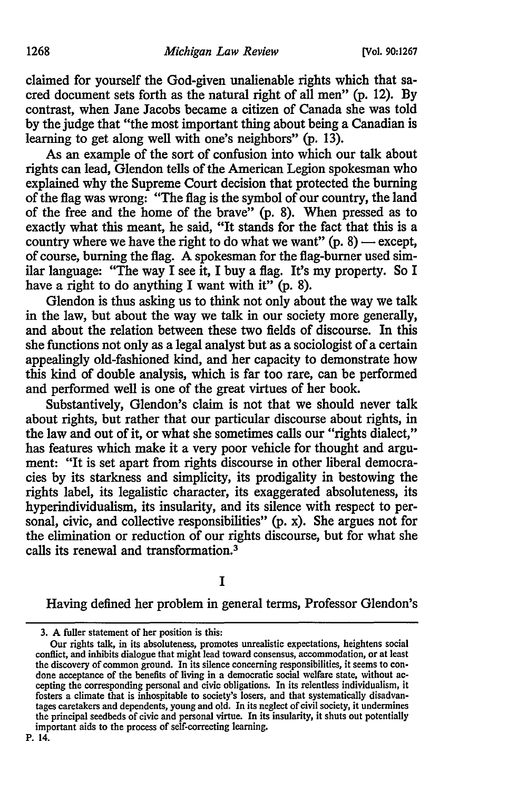claimed for yourself the God-given unalienable rights which that sacred document sets forth as the natural right of all men" (p. 12). By contrast, when Jane Jacobs became a citizen of Canada she was told by the judge that "the most important thing about being a Canadian is learning to get along well with one's neighbors" (p. 13).

As an example of the sort of confusion into which our talk about rights can lead, Glendon tells of the American Legion spokesman who explained why the Supreme Court decision that protected the burning of the flag was wrong: "The flag is the symbol of our country, the land of the free and the home of the brave" (p. 8). When pressed as to exactly what this meant, he said, "It stands for the fact that this is a country where we have the right to do what we want"  $(p, 8)$  — except, of course, burning the flag. A spokesman for the flag-burner used similar language: "The way I see it, I buy a flag. It's my property. So I have a right to do anything I want with it" (p. 8).

Glendon is thus asking us to think not only about the way we talk in the law, but about the way we talk in our society more generally, and about the relation between these two fields of discourse. In this she functions not only as a legal analyst but as a sociologist of a certain appealingly old-fashioned kind, and her capacity to demonstrate how this kind of double analysis, which is far too rare, can be performed and performed well is one of the great virtues of her book.

Substantively, Glendon's claim is not that we should never talk about rights, but rather that our particular discourse about rights, in the law and out of it, or what she sometimes calls our "rights dialect," has features which make it a very poor vehicle for thought and argument: "It is set apart from rights discourse in other liberal democracies by its starkness and simplicity, its prodigality in bestowing the rights label, its legalistic character, its exaggerated absoluteness, its hyperindividualism, its insularity, and its silence with respect to personal, civic, and collective responsibilities" (p. x). She argues not for the elimination or reduction of our rights discourse, but for what she calls its renewal and transformation.<sup>3</sup>

I

Having defined her problem in general terms, Professor Glendon's

<sup>3.</sup> A fuller statement of her position is this:

Our rights talk, in its absoluteness, promotes unrealistic expectations, heightens social conflict, and inhibits dialogue that might lead toward consensus, accommodation, or at least the discovery of common ground. In its silence concerning responsibilities, it seems to con· done acceptance of the benefits of living in a democratic social welfare state, without accepting the corresponding personal and civic obligations. In its relentless individualism, it fosters a climate that is inhospitable to society's losers, and that systematically disadvan· tages caretakers and dependents, young and old. In its neglect of civil society, it undermines the principal seedbeds of civic and personal virtue. In its insularity, it shuts out potentially important aids to the process of self-correcting learning.

P. 14.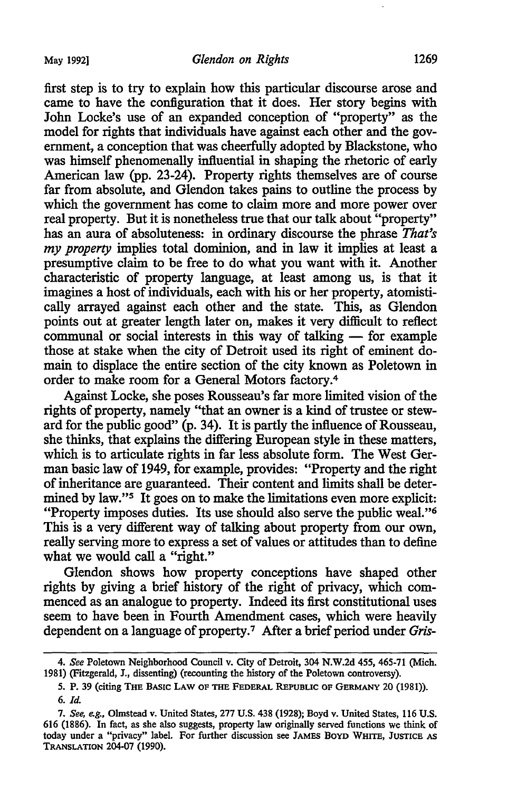first step is to try to explain how this particular discourse arose and came to have the configuration that it does. Her story begins with John Locke's use of an expanded conception of "property" as the model for rights that individuals have against each other and the government, a conception that was cheerfully adopted by Blackstone, who was himself phenomenally influential in shaping the rhetoric of early American law (pp. 23-24). Property rights themselves are of course far from absolute, and Glendon takes pains to outline the process by which the government has come to claim more and more power over real property. But it is nonetheless true that our talk about "property" has an aura of absoluteness: in ordinary discourse the phrase *That's*  my *property* implies total dominion, and in law it implies at least a presumptive claim to be free to do what you want with it. Another characteristic of property language, at least among us, is that it imagines a host of individuals, each with his or her property, atomistically arrayed against each other and the state. This, as Glendon points out at greater length later on, makes it very difficult to reflect  $communal$  or social interests in this way of talking  $-$  for example those at stake when the city of Detroit used its right of eminent domain to displace the entire section of the city known as Poletown in order to make room for a General Motors factory.4

Against Locke, she poses Rousseau's far more limited vision of the rights of property, namely "that an owner is a kind of trustee or steward for the public good" (p. 34). It is partly the influence of Rousseau, she thinks, that explains the differing European style in these matters, which is to articulate rights in far less absolute form. The West German basic law of 1949, for example, provides: "Property and the right of inheritance are guaranteed. Their content and limits shall be determined by law."<sup>5</sup> It goes on to make the limitations even more explicit: "Property imposes duties. Its use should also serve the public weal."6 This is a very different way of talking about property from our own, really serving more to express a set of values or attitudes than to define what we would call a "right."

Glendon shows how property conceptions have shaped other rights by giving a brief history of the right of privacy, which commenced as an analogue to property. Indeed its first constitutional uses seem to have been in Fourth Amendment cases, which were heavily dependent on a language of property.<sup>7</sup> After a brief period under *Gris-*

<sup>4.</sup> *See* Poletown Neighborhood Council v. City of Detroit, 304 N.W.2d 455, 465-71 (Mich. 1981) (Fitzgerald, J., dissenting) (recounting the history of the Poletown controversy).

<sup>5.</sup> P. 39 (citing THE BASIC LAW OF THE FEDERAL REPUBLIC OF GERMANY 20 (1981)). 6. *Id.* 

<sup>7.</sup> *See, e.g.,* Olmstead v. United States, 277 U.S. 438 (1928); Boyd v. United States, 116 U.S. 616 (1886). In fact, as she also suggests, property law originally served functions we think of today under a "privacy" label. For further discussion see JAMES BOYD WHITE, JUSTICE AS TRANSLATION 204-07 (1990).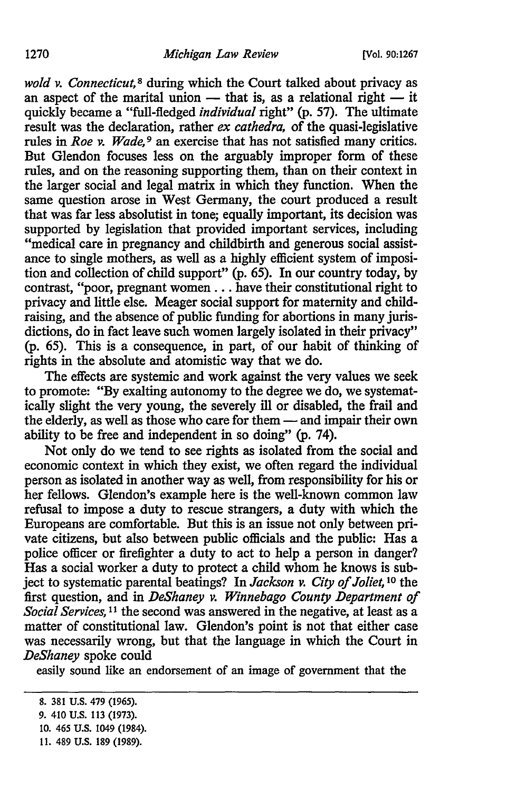*wold v. Connecticut,* 8 during which the Court talked about privacy as an aspect of the marital union — that is, as a relational right  $-$  it quickly became a "full-fledged *individual* right" (p. 57). The ultimate result was the declaration, rather *ex cathedra,* of the quasi-legislative rules in *Roe v. Wade*,<sup>9</sup> an exercise that has not satisfied many critics. But Glendon focuses less on the arguably improper form of these rules, and on the reasoning supporting them, than on their context in the larger social and legal matrix in which they function. When the same question arose in West Germany, the court produced a result that was far less absolutist in tone; equally important, its decision was supported by legislation that provided important services, including "medical care in pregnancy and childbirth and generous social assistance to single mothers, as well as a highly efficient system of imposition and collection of child support" (p. 65). In our country today, by contrast, "poor, pregnant women ... have their constitutional right to privacy and little else. Meager social support for maternity and childraising, and the absence of public funding for abortions in many jurisdictions, do in fact leave such women largely isolated in their privacy" (p. 65). This is a consequence, in part, of our habit of thinking of rights in the absolute and atomistic way that we do.

The effects are systemic and work against the very values we seek to promote: "By exalting autonomy to the degree we do, we systematically slight the very young, the severely ill or disabled, the frail and the elderly, as well as those who care for them - and impair their own ability to be free and independent in so doing" (p. 74).

Not only do we tend to see rights as isolated from the social and economic context in which they exist, we often regard the individual person as isolated in another way as well, from responsibility for his or her fellows. Glendon's example here is the well-known common law refusal to impose a duty to rescue strangers, a duty with which the Europeans are comfortable. But this is an issue not only between private citizens, but also between public officials and the public: Has a police officer or firefighter a duty to act to help a person in danger? Has a social worker a duty to protect a child whom he knows is subject to systematic parental beatings? In *Jackson v. City of Joliet,* 10 the first question, and in *DeShaney v. Winnebago County Department of Social Services,* 11 the second was answered in the negative, at least as a matter of constitutional law. Glendon's point is not that either case was necessarily wrong, but that the language in which the Court in *DeShaney* spoke could

easily sound like an endorsement of an image of government that the

<sup>8. 381</sup> U.S. 479 (1965).

<sup>9. 410</sup> U.S. 113 (1973).

<sup>10.</sup> 465 U.S. 1049 (1984).

<sup>11. 489</sup> U.S. 189 (1989).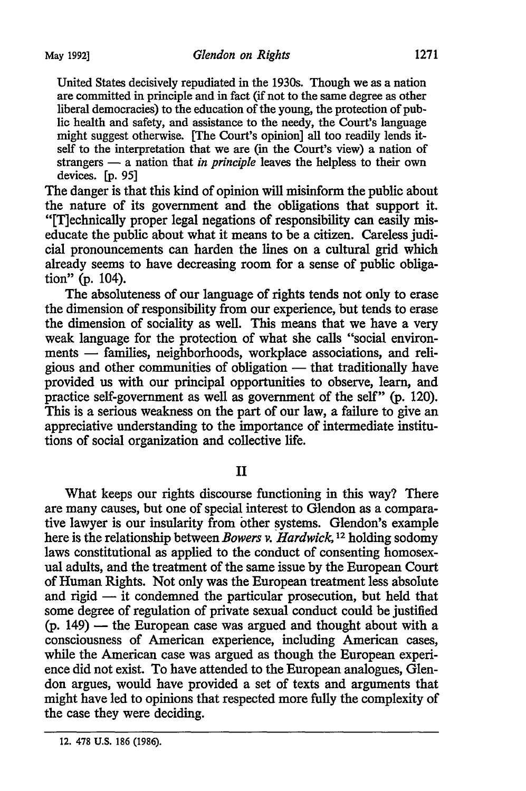United States decisively repudiated in the 1930s. Though we as a nation are committed in principle and in fact (if not to the same degree as other liberal democracies) to the education of the young, the protection of public health and safety, and assistance to the needy, the Court's language might suggest otherwise. [The Court's opinion] all too readily lends itself to the interpretation that we are (in the Court's view) a nation of strangers - a nation that *in principle* leaves the helpless to their own devices. [p. 95]

The danger is that this kind of opinion will misinform the public about the nature of its government and the obligations that support it. "[T]echnically proper legal negations of responsibility can easily miseducate the public about what it means to be a citizen. Careless judicial pronouncements can harden the lines on a cultural grid which already seems to have decreasing room for a sense of public obligation" (p. 104).

The absoluteness of our language of rights tends not only to erase the dimension of responsibility from our experience, but tends to erase the dimension of sociality as well. This means that we have a very weak language for the protection of what she calls "social environments - families, neighborhoods, workplace associations, and religious and other communities of obligation  $-$  that traditionally have provided us with our principal opportunities to observe, learn, and practice self-government as well as government of the self" (p. 120). This is a serious weakness on the part of our law, a failure to give an appreciative understanding to the importance of intermediate institutions of social organization and collective life.

II

What keeps our rights discourse functioning in this way? There are many causes, but one of special interest to Glendon as a comparative lawyer is our insularity from other systems. Glendon's example here is the relationship between *Bowers v. Hardwick,* 12 holding sodomy laws constitutional as applied to the conduct of consenting homosexual adults, and the treatment of the same issue by the European Court of Human Rights. Not only was the European treatment less absolute and rigid  $-$  it condemned the particular prosecution, but held that some degree of regulation of private sexual conduct could be justified  $(p. 149)$  — the European case was argued and thought about with a consciousness of American experience, including American cases, while the American case was argued as though the European experience did not exist. To have attended to the European analogues, Glendon argues, would have provided a set of texts and arguments that might have led to opinions that respected more fully the complexity of the case they were deciding.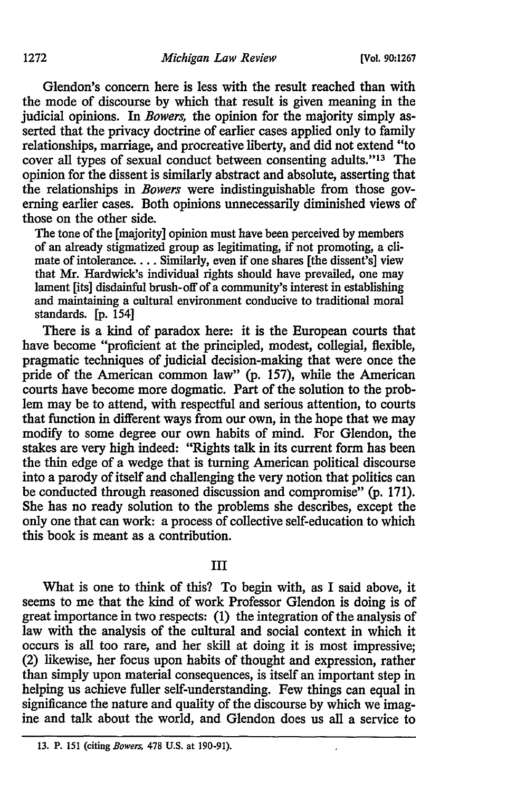Glendon's concern here is less with the result reached than with the mode of discourse by which that result is given meaning in the judicial opinions. In *Bowers,* the opinion for the majority simply asserted that the privacy doctrine of earlier cases applied only to family relationships, marriage, and procreative liberty, and did not extend "to cover all types of sexual conduct between consenting adults."<sup>13</sup> The opinion for the dissent is similarly abstract and absolute, asserting that the relationships in *Bowers* were indistinguishable from those governing earlier cases. Both opinions unnecessarily diminished views of those on the other side.

The tone of the [majority] opinion must have been perceived by members of an already stigmatized group as legitimating, if not promoting, a climate of intolerance .... Similarly, even if one shares [the dissent's] view that Mr. Hardwick's individual rights should have prevailed, one may lament [its] disdainful brush-off of a community's interest in establishing and maintaining a cultural environment conducive to traditional moral standards. [p. 154]

There is a kind of paradox here: it is the European courts that have become "proficient at the principled, modest, collegial, flexible, pragmatic techniques of judicial decision-making that were once the pride of the American common law" (p. 157), while the American courts have become more dogmatic. Part of the solution to the problem may be to attend, with respectful and serious attention, to courts that function in different ways from our own, in the hope that we may modify to some degree our own habits of mind. For Glendon, the stakes are very high indeed: "Rights talk in its current form has been the thin edge of a wedge that is turning American political discourse into a parody of itself and challenging the very notion that politics can be conducted through reasoned discussion and compromise" (p. 171). She has no ready solution to the problems she describes, except the only one that can work: a process of collective self-education to which this book is meant as a contribution.

### III

What is one to think of this? To begin with, as I said above, it seems to me that the kind of work Professor Glendon is doing is of great importance in two respects: (1) the integration of the analysis of law with the analysis of the cultural and social context in which it occurs is all too rare, and her skill at doing it is most impressive; (2) likewise, her focus upon habits of thought and expression, rather than simply upon material consequences, is itself an important step in helping us achieve fuller self-understanding. Few things can equal in significance the nature and quality of the discourse by which we imagine and talk about the world, and Glendon does us all a service to

<sup>13.</sup> P. 151 (citing *Bowers,* 478 U.S. at 190-91).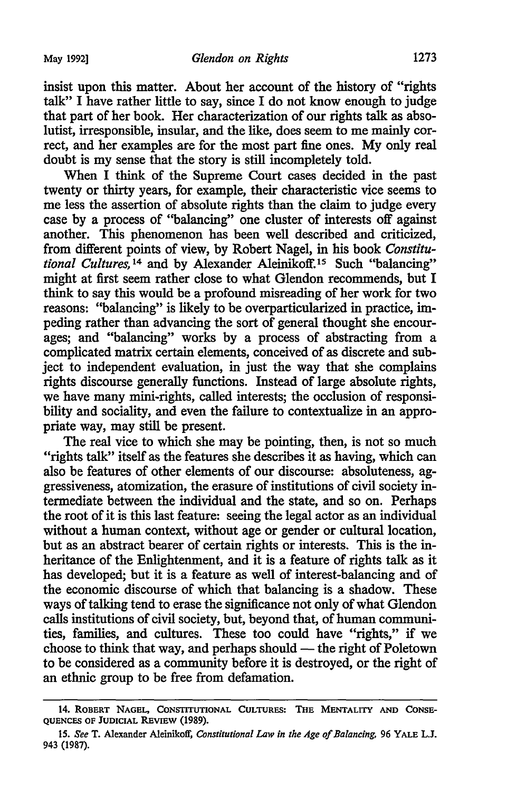insist upon this matter. About her account of the history of "rights talk" I have rather little to say, since I do not know enough to judge that part of her book. Her characterization of our rights talk as absolutist, irresponsible, insular, and the like, does seem to me mainly correct, and her examples are for the most part fine ones. My only real doubt is my sense that the story is still incompletely told.

When I think of the Supreme Court cases decided in the past twenty or thirty years, for example, their characteristic vice seems to me less the assertion of absolute rights than the claim to judge every case by a process of "balancing" one cluster of interests off against another. This phenomenon has been well described and criticized, from different points of view, by Robert Nagel, in his book *Constitutional Cultures,* 14 and by Alexander Aleinikoff.15 Such "balancing" might at first seem rather close to what Glendon recommends, but I think to say this would be a profound misreading of her work for two reasons: "balancing'' is likely to be overparticularized in practice, impeding rather than advancing the sort of general thought she encourages; and "balancing" works by a process of abstracting from a complicated matrix certain elements, conceived of as discrete and subject to independent evaluation, in just the way that she complains rights discourse generally functions. Instead of large absolute rights, we have many mini-rights, called interests; the occlusion of responsibility and sociality, and even the failure to contextualize in an appropriate way, may still be present.

The real vice to which she may be pointing, then, is not so much "rights talk" itself as the features she describes it as having, which can also be features of other elements of our discourse: absoluteness, aggressiveness, atomization, the erasure of institutions of civil society intermediate between the individual and the state, and so on. Perhaps the root of it is this last feature: seeing the legal actor as an individual without a human context, without age or gender or cultural location, but as an abstract bearer of certain rights or interests. This is the inheritance of the Enlightenment, and it is a feature of rights talk as it has developed; but it is a feature as well of interest-balancing and of the economic discourse of which that balancing is a shadow. These ways of talking tend to erase the significance not only of what Glendon calls institutions of civil society, but, beyond that, of human communities, families, and cultures. These too could have "rights," if we choose to think that way, and perhaps should  $-$  the right of Poletown to be considered as a community before it is destroyed, or the right of an ethnic group to be free from defamation.

<sup>14.</sup> ROBERT NAGEL, CoNSTITUTIONAL CULTURES: THE MENTALITY AND CoNSE-QUENCES OF JUDICIAL REVIEW (1989).

<sup>15.</sup> *See* T. Alexander Aleinikoff, *Constitutional Law in the Age of Balancing,* 96 YALE L.J. 943 (1987).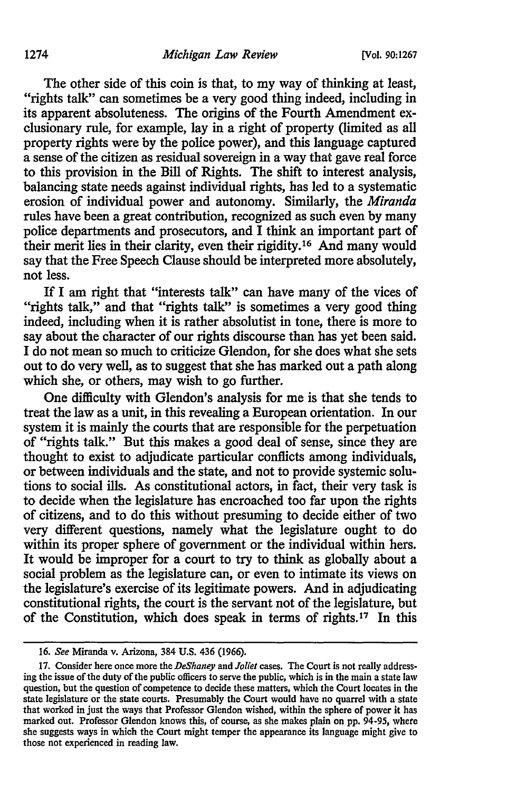The other side of this coin is that, to my way of thinking at least, "rights talk" can sometimes be a very good thing indeed, including in its apparent absoluteness. The origins of the Fourth Amendment exclusionary rule, for example, lay in a right of property Qimited as all property rights were by the police power), and this language captured a sense of the citizen as residual sovereign in a way that gave real force to this provision in the Bill of Rights. The shift to interest analysis, balancing state needs against individual rights, has led to a systematic erosion of individual power and autonomy. Similarly, the *Miranda*  rules have been a great contribution, recognized as such even by many police departments and prosecutors, and I think an important part of their merit lies in their clarity, even their rigidity. 16 And many would say that the Free Speech Clause should be interpreted more absolutely, not less.

If I am right that "interests talk" can have many of the vices of "rights talk," and that "rights talk" is sometimes a very good thing indeed, including when it is rather absolutist in tone, there is more to say about the character of our rights discourse than has yet been said. I do not mean so much to criticize Glendon, for she does what she sets out to do very well, as to suggest that she has marked out a path along which she, or others, may wish to go further.

One difficulty with Glendon's analysis for me is that she tends to treat the law as a unit, in this revealing a European orientation. In our system it is mainly the courts that are responsible for the perpetuation of "rights talk." But this makes a good deal of sense, since they are thought to exist to adjudicate particular conflicts among individuals, or between individuals and the state, and not to provide systemic solutions to social ills. As constitutional actors, in fact, their very task is to decide when the legislature has encroached too far upon the rights of citizens, and to do this without presuming to decide either of two very different questions, namely what the legislature ought to do within its proper sphere of government or the individual within hers. It would be improper for a court to try to think as globally about a social problem as the legislature can, or even to intimate its views on the legislature's exercise of its legitimate powers. And in adjudicating constitutional rights, the court is the servant not of the legislature, but of the Constitution, which does speak in terms of rights.17 In this

<sup>16.</sup> *See* Miranda v. Arizona, 384 U.S. 436 (1966).

<sup>17.</sup> Consider here once more the *DeShaney* and *Joliet* cases. The Court is not really addressing the issue of the duty of the public officers to serve the public, which is in the main a state law question, but the question of competence to decide these matters, which the Court locates in the state legislature or the state courts. Presumably the Court would have no quarrel with a state that worked in just the ways that Professor Glendon wished, within the sphere of power it has marked out. Professor Glendon knows this, of course, as she makes plain on pp. 94-95, *whete*  she suggests ways in which the Court might temper the appearance its language might give to those not experienced in reading law.